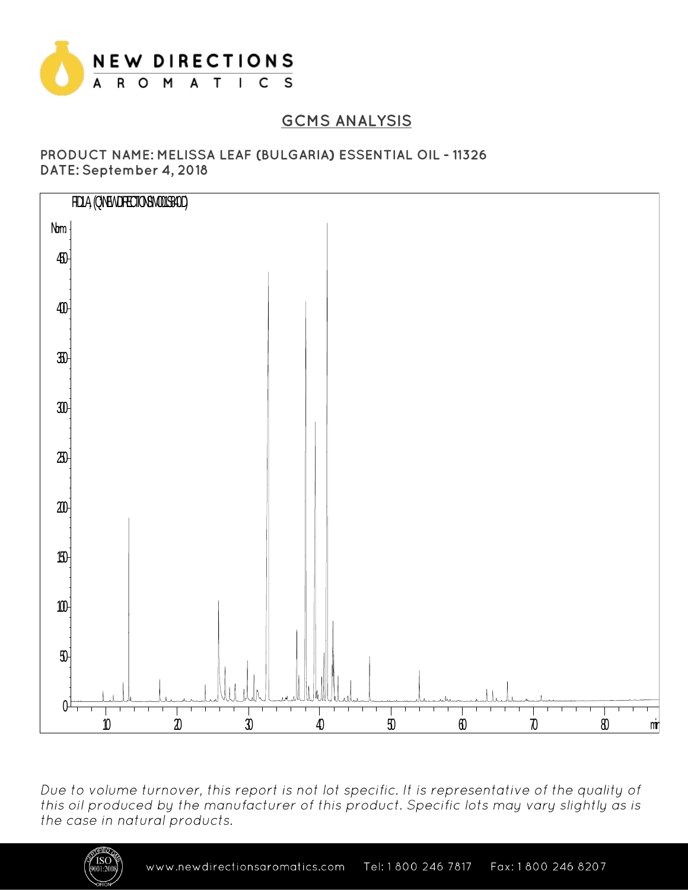

## **GCMS ANALYSIS**

#### PRODUCT NAME: MELISSA LEAF (BULGARIA) ESSENTIAL OIL - 11326 DATE: September 4, 2018



Due to volume turnover, this report is not lot specific. It is representative of the quality of this oil produced by the manufacturer of this product. Specific lots may vary slightly as is the case in natural products.

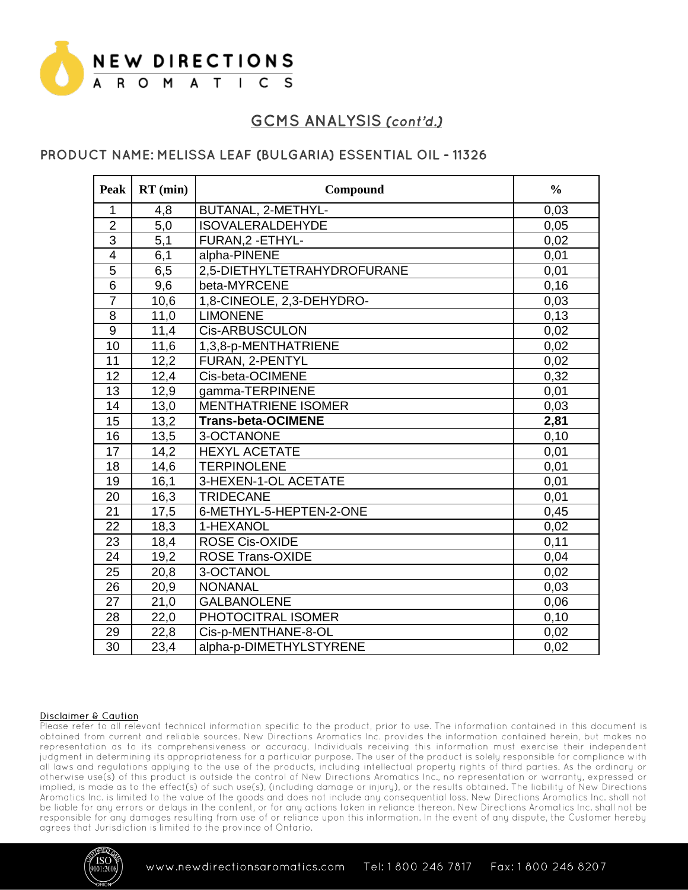

### PRODUCT NAME: MELISSA LEAF (BULGARIA) ESSENTIAL OIL - 11326

| <b>Peak</b>             | $RT$ (min) | Compound                    | $\frac{0}{0}$ |
|-------------------------|------------|-----------------------------|---------------|
| 1                       | 4,8        | BUTANAL, 2-METHYL-          | 0,03          |
| $\overline{2}$          | 5,0        | <b>ISOVALERALDEHYDE</b>     | 0,05          |
| $\overline{3}$          | 5,1        | FURAN, 2 - ETHYL-           | 0,02          |
| $\overline{\mathbf{4}}$ | 6,1        | alpha-PINENE                | 0,01          |
| 5                       | 6,5        | 2,5-DIETHYLTETRAHYDROFURANE | 0,01          |
| $\overline{6}$          | 9,6        | beta-MYRCENE                | 0,16          |
| $\overline{7}$          | 10,6       | 1,8-CINEOLE, 2,3-DEHYDRO-   | 0,03          |
| 8                       | 11,0       | <b>LIMONENE</b>             | 0,13          |
| $\overline{9}$          | 11,4       | <b>Cis-ARBUSCULON</b>       | 0,02          |
| 10                      | 11,6       | 1,3,8-p-MENTHATRIENE        | 0,02          |
| 11                      | 12,2       | FURAN, 2-PENTYL             | 0,02          |
| 12                      | 12,4       | Cis-beta-OCIMENE            | 0,32          |
| $\overline{13}$         | 12,9       | gamma-TERPINENE             | 0,01          |
| 14                      | 13,0       | <b>MENTHATRIENE ISOMER</b>  | 0,03          |
| 15                      | 13,2       | <b>Trans-beta-OCIMENE</b>   | 2,81          |
| 16                      | 13,5       | 3-OCTANONE                  | 0,10          |
| $\overline{17}$         | 14,2       | <b>HEXYL ACETATE</b>        | 0,01          |
| 18                      | 14,6       | <b>TERPINOLENE</b>          | 0,01          |
| 19                      | 16,1       | 3-HEXEN-1-OL ACETATE        | 0,01          |
| 20                      | 16,3       | <b>TRIDECANE</b>            | 0,01          |
| 21                      | 17,5       | 6-METHYL-5-HEPTEN-2-ONE     | 0,45          |
| $\overline{22}$         | 18,3       | 1-HEXANOL                   | 0,02          |
| 23                      | 18,4       | ROSE Cis-OXIDE              | 0,11          |
| 24                      | 19,2       | <b>ROSE Trans-OXIDE</b>     | 0,04          |
| 25                      | 20,8       | 3-OCTANOL                   | 0,02          |
| 26                      | 20,9       | <b>NONANAL</b>              | 0,03          |
| 27                      | 21,0       | <b>GALBANOLENE</b>          | 0,06          |
| 28                      | 22,0       | PHOTOCITRAL ISOMER          | 0,10          |
| 29                      | 22,8       | Cis-p-MENTHANE-8-OL         | 0,02          |
| $\overline{30}$         | 23,4       | alpha-p-DIMETHYLSTYRENE     | 0,02          |

#### **Disclaimer & Caution**

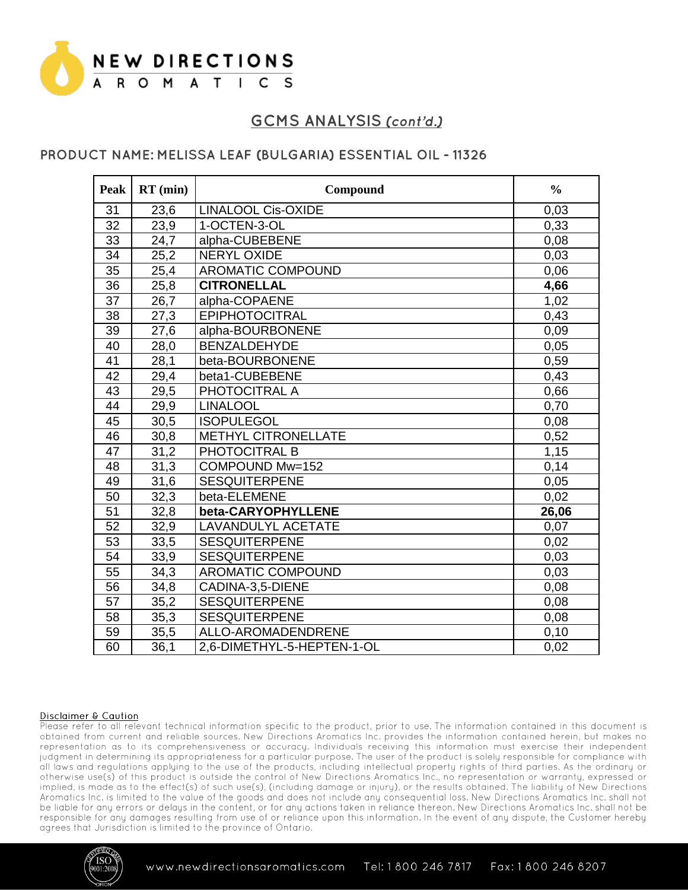

### PRODUCT NAME: MELISSA LEAF (BULGARIA) ESSENTIAL OIL - 11326

| Peak            | $RT$ (min)        | Compound                   | $\frac{0}{0}$ |
|-----------------|-------------------|----------------------------|---------------|
| 31              | 23,6              | <b>LINALOOL Cis-OXIDE</b>  | 0,03          |
| 32              | 23,9              | 1-OCTEN-3-OL               | 0,33          |
| 33              | 24,7              | alpha-CUBEBENE             | 0,08          |
| 34              | 25,2              | <b>NERYL OXIDE</b>         | 0,03          |
| 35              | 25,4              | <b>AROMATIC COMPOUND</b>   | 0,06          |
| $\overline{36}$ | 25,8              | <b>CITRONELLAL</b>         | 4,66          |
| 37              | 26,7              | alpha-COPAENE              | 1,02          |
| 38              | 27,3              | <b>EPIPHOTOCITRAL</b>      | 0,43          |
| $\overline{39}$ | 27,6              | alpha-BOURBONENE           | 0,09          |
| 40              | 28,0              | <b>BENZALDEHYDE</b>        | 0,05          |
| 41              | 28,1              | beta-BOURBONENE            | 0,59          |
| 42              | 29,4              | beta1-CUBEBENE             | 0,43          |
| 43              | 29,5              | PHOTOCITRAL A              | 0,66          |
| $\overline{44}$ | 29,9              | <b>LINALOOL</b>            | 0.70          |
| 45              | 30,5              | <b>ISOPULEGOL</b>          | 0,08          |
| 46              | 30,8              | <b>METHYL CITRONELLATE</b> | 0,52          |
| 47              | 31,2              | PHOTOCITRAL B              | 1,15          |
| 48              | $\overline{31},3$ | COMPOUND Mw=152            | 0,14          |
| 49              | 31,6              | <b>SESQUITERPENE</b>       | 0,05          |
| 50              | 32,3              | beta-ELEMENE               | 0,02          |
| $\overline{51}$ | 32,8              | beta-CARYOPHYLLENE         | 26,06         |
| 52              | 32,9              | <b>LAVANDULYL ACETATE</b>  | 0,07          |
| 53              | 33,5              | <b>SESQUITERPENE</b>       | 0,02          |
| $\overline{54}$ | 33,9              | <b>SESQUITERPENE</b>       | 0,03          |
| $\overline{55}$ | 34,3              | <b>AROMATIC COMPOUND</b>   | 0,03          |
| 56              | 34,8              | CADINA-3,5-DIENE           | 0,08          |
| 57              | 35,2              | <b>SESQUITERPENE</b>       | 0,08          |
| 58              | 35,3              | <b>SESQUITERPENE</b>       | 0,08          |
| 59              | 35,5              | ALLO-AROMADENDRENE         | 0,10          |
| 60              | 36.1              | 2.6-DIMETHYL-5-HEPTEN-1-OL | 0.02          |

#### **Disclaimer & Caution**

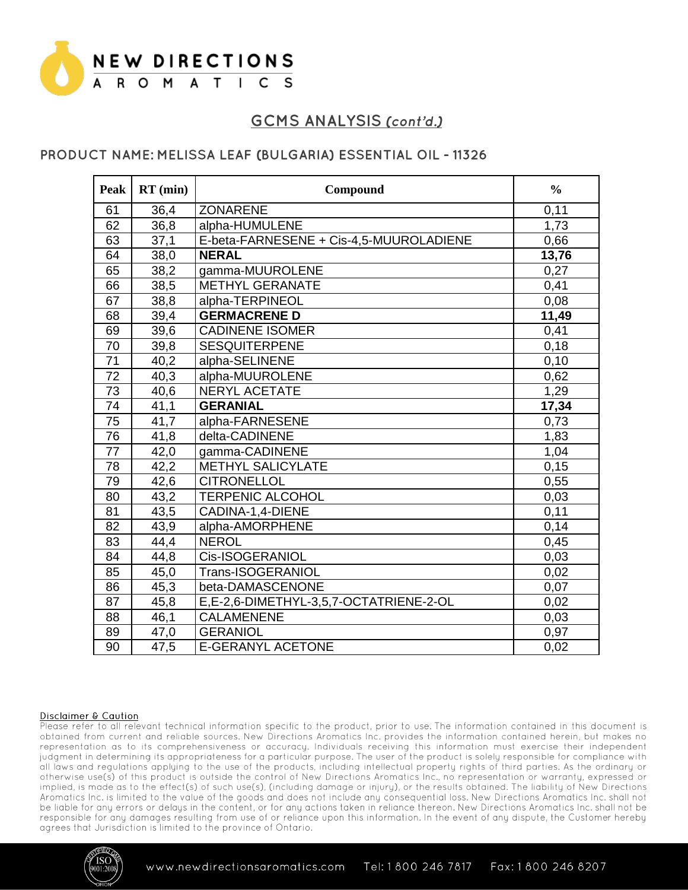

### PRODUCT NAME: MELISSA LEAF (BULGARIA) ESSENTIAL OIL - 11326

| <b>Peak</b>     | $RT$ (min) | Compound                                | $\frac{0}{0}$ |
|-----------------|------------|-----------------------------------------|---------------|
| 61              | 36,4       | <b>ZONARENE</b>                         | 0,11          |
| 62              | 36,8       | alpha-HUMULENE                          | 1,73          |
| 63              | 37,1       | E-beta-FARNESENE + Cis-4,5-MUUROLADIENE | 0,66          |
| 64              | 38,0       | <b>NERAL</b>                            | 13,76         |
| 65              | 38,2       | gamma-MUUROLENE                         | 0,27          |
| 66              | 38,5       | <b>METHYL GERANATE</b>                  | 0,41          |
| 67              | 38,8       | alpha-TERPINEOL                         | 0,08          |
| 68              | 39,4       | <b>GERMACRENE D</b>                     | 11,49         |
| 69              | 39,6       | <b>CADINENE ISOMER</b>                  | 0,41          |
| 70              | 39,8       | <b>SESQUITERPENE</b>                    | 0,18          |
| 71              | 40,2       | alpha-SELINENE                          | 0,10          |
| 72              | 40,3       | alpha-MUUROLENE                         | 0,62          |
| 73              | 40,6       | <b>NERYL ACETATE</b>                    | 1,29          |
| 74              | 41,1       | <b>GERANIAL</b>                         | 17,34         |
| 75              | 41,7       | alpha-FARNESENE                         | 0,73          |
| 76              | 41,8       | delta-CADINENE                          | 1,83          |
| $\overline{77}$ | 42,0       | gamma-CADINENE                          | 1,04          |
| 78              | 42,2       | <b>METHYL SALICYLATE</b>                | 0,15          |
| 79              | 42,6       | <b>CITRONELLOL</b>                      | 0,55          |
| 80              | 43,2       | <b>TERPENIC ALCOHOL</b>                 | 0,03          |
| 81              | 43,5       | CADINA-1,4-DIENE                        | 0,11          |
| 82              | 43,9       | alpha-AMORPHENE                         | 0,14          |
| 83              | 44,4       | <b>NEROL</b>                            | 0,45          |
| 84              | 44,8       | Cis-ISOGERANIOL                         | 0,03          |
| 85              | 45,0       | Trans-ISOGERANIOL                       | 0,02          |
| 86              | 45,3       | beta-DAMASCENONE                        | 0,07          |
| 87              | 45,8       | E,E-2,6-DIMETHYL-3,5,7-OCTATRIENE-2-OL  | 0,02          |
| 88              | 46,1       | <b>CALAMENENE</b>                       | 0,03          |
| 89              | 47,0       | <b>GERANIOL</b>                         | 0,97          |
| 90              | 47,5       | <b>E-GERANYL ACETONE</b>                | 0,02          |

#### Disclaimer & Caution

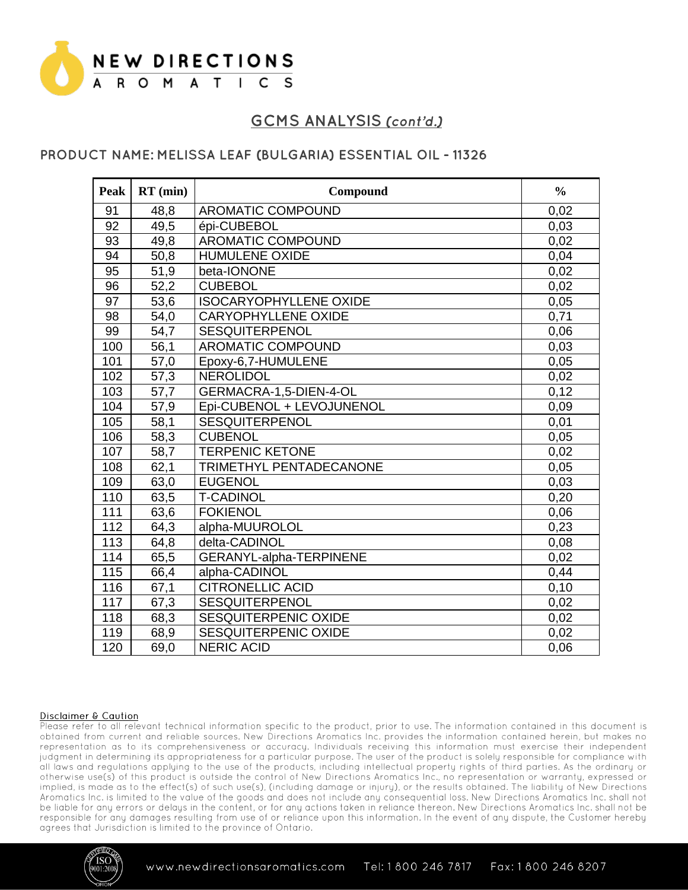

## PRODUCT NAME: MELISSA LEAF (BULGARIA) ESSENTIAL OIL - 11326

| Peak | $RT$ (min)        | Compound                      | $\frac{0}{0}$ |
|------|-------------------|-------------------------------|---------------|
| 91   | 48,8              | <b>AROMATIC COMPOUND</b>      | 0,02          |
| 92   | 49,5              | épi-CUBEBOL                   | 0,03          |
| 93   | 49,8              | <b>AROMATIC COMPOUND</b>      | 0,02          |
| 94   | 50,8              | <b>HUMULENE OXIDE</b>         | 0,04          |
| 95   | 51,9              | beta-IONONE                   | 0,02          |
| 96   | 52,2              | <b>CUBEBOL</b>                | 0,02          |
| 97   | 53,6              | <b>ISOCARYOPHYLLENE OXIDE</b> | 0,05          |
| 98   | 54,0              | <b>CARYOPHYLLENE OXIDE</b>    | 0,71          |
| 99   | 54,7              | <b>SESQUITERPENOL</b>         | 0,06          |
| 100  | 56,1              | <b>AROMATIC COMPOUND</b>      | 0,03          |
| 101  | 57,0              | Epoxy-6,7-HUMULENE            | 0,05          |
| 102  | 57,3              | <b>NEROLIDOL</b>              | 0,02          |
| 103  | 57,7              | GERMACRA-1,5-DIEN-4-OL        | 0,12          |
| 104  | $\overline{57,9}$ | Epi-CUBENOL + LEVOJUNENOL     | 0,09          |
| 105  | 58,1              | <b>SESQUITERPENOL</b>         | 0,01          |
| 106  | 58,3              | <b>CUBENOL</b>                | 0,05          |
| 107  | 58,7              | <b>TERPENIC KETONE</b>        | 0,02          |
| 108  | 62,1              | TRIMETHYL PENTADECANONE       | 0,05          |
| 109  | 63,0              | <b>EUGENOL</b>                | 0,03          |
| 110  | 63,5              | <b>T-CADINOL</b>              | 0,20          |
| 111  | 63,6              | <b>FOKIENOL</b>               | 0,06          |
| 112  | 64,3              | alpha-MUUROLOL                | 0,23          |
| 113  | 64,8              | delta-CADINOL                 | 0,08          |
| 114  | 65,5              | GERANYL-alpha-TERPINENE       | 0,02          |
| 115  | 66,4              | alpha-CADINOL                 | 0,44          |
| 116  | 67,1              | <b>CITRONELLIC ACID</b>       | 0,10          |
| 117  | 67,3              | <b>SESQUITERPENOL</b>         | 0,02          |
| 118  | 68,3              | <b>SESQUITERPENIC OXIDE</b>   | 0,02          |
| 119  | 68,9              | <b>SESQUITERPENIC OXIDE</b>   | 0,02          |
| 120  | 69,0              | <b>NERIC ACID</b>             | 0,06          |

#### Disclaimer & Caution